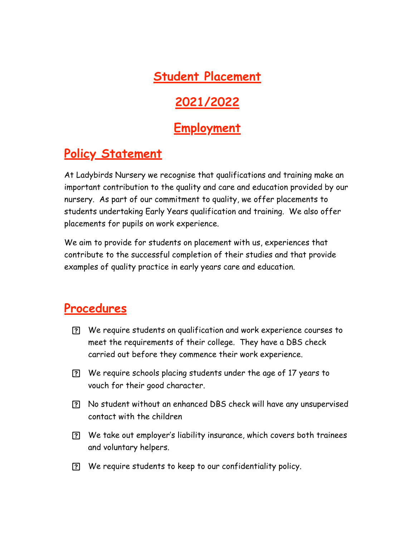**Student Placement**

# **2021/2022**

# **Employment**

## **Policy Statement**

At Ladybirds Nursery we recognise that qualifications and training make an important contribution to the quality and care and education provided by our nursery. As part of our commitment to quality, we offer placements to students undertaking Early Years qualification and training. We also offer placements for pupils on work experience.

We aim to provide for students on placement with us, experiences that contribute to the successful completion of their studies and that provide examples of quality practice in early years care and education.

### **Procedures**

- We require students on qualification and work experience courses to meet the requirements of their college. They have a DBS check carried out before they commence their work experience.
- We require schools placing students under the age of 17 years to vouch for their good character.
- No student without an enhanced DBS check will have any unsupervised contact with the children
- We take out employer's liability insurance, which covers both trainees and voluntary helpers.
- We require students to keep to our confidentiality policy.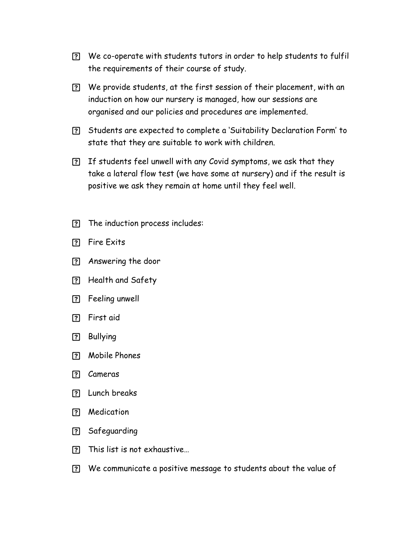- We co-operate with students tutors in order to help students to fulfil the requirements of their course of study.
- We provide students, at the first session of their placement, with an induction on how our nursery is managed, how our sessions are organised and our policies and procedures are implemented.
- Students are expected to complete a 'Suitability Declaration Form' to state that they are suitable to work with children.
- If students feel unwell with any Covid symptoms, we ask that they take a lateral flow test (we have some at nursery) and if the result is positive we ask they remain at home until they feel well.
- The induction process includes:
- Fire Exits
- Answering the door
- Health and Safety
- Feeling unwell
- First aid
- ? Bullying
- Mobile Phones
- Cameras
- Lunch breaks
- Medication
- Safeguarding
- This list is not exhaustive…
- We communicate a positive message to students about the value of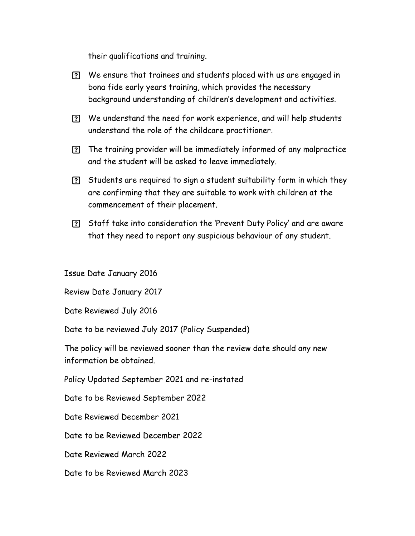their qualifications and training.

- We ensure that trainees and students placed with us are engaged in bona fide early years training, which provides the necessary background understanding of children's development and activities.
- We understand the need for work experience, and will help students understand the role of the childcare practitioner.
- The training provider will be immediately informed of any malpractice and the student will be asked to leave immediately.
- Students are required to sign a student suitability form in which they are confirming that they are suitable to work with children at the commencement of their placement.
- Staff take into consideration the 'Prevent Duty Policy' and are aware that they need to report any suspicious behaviour of any student.

Issue Date January 2016

Review Date January 2017

Date Reviewed July 2016

Date to be reviewed July 2017 (Policy Suspended)

The policy will be reviewed sooner than the review date should any new information be obtained.

Policy Updated September 2021 and re-instated

Date to be Reviewed September 2022

Date Reviewed December 2021

Date to be Reviewed December 2022

Date Reviewed March 2022

Date to be Reviewed March 2023